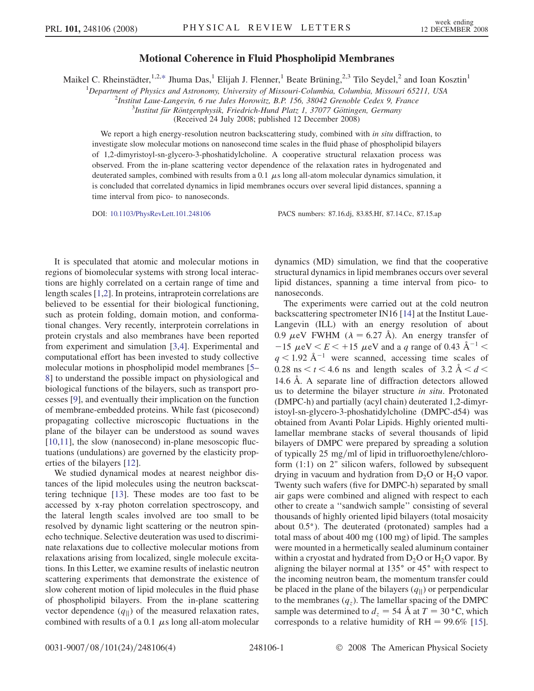## Motional Coherence in Fluid Phospholipid Membranes

<span id="page-0-0"></span>Maikel C. Rheinstädter,<sup>1,2[,\\*](#page-3-0)</sup> Jhuma Das,<sup>1</sup> Elijah J. Flenner,<sup>1</sup> Beate Brüning,<sup>2,3</sup> Tilo Seydel,<sup>2</sup> and Ioan Kosztin<sup>1</sup>

<sup>1</sup>Department of Physics and Astronomy, University of Missouri-Columbia, Columbia, Missouri 65211, USA  $\frac{2 \text{I}}{2 \text{I}}$ 

<sup>2</sup>Institut Laue-Langevin, 6 rue Jules Horowitz, B.P. 156, 38042 Grenoble Cedex 9, France

 $3$ Institut für Röntgenphysik, Friedrich-Hund Platz 1, 37077 Göttingen, Germany

(Received 24 July 2008; published 12 December 2008)

We report a high energy-resolution neutron backscattering study, combined with in situ diffraction, to investigate slow molecular motions on nanosecond time scales in the fluid phase of phospholipid bilayers of 1,2-dimyristoyl-sn-glycero-3-phoshatidylcholine. A cooperative structural relaxation process was observed. From the in-plane scattering vector dependence of the relaxation rates in hydrogenated and deuterated samples, combined with results from a 0.1  $\mu$ s long all-atom molecular dynamics simulation, it is concluded that correlated dynamics in lipid membranes occurs over several lipid distances, spanning a time interval from pico- to nanoseconds.

DOI: [10.1103/PhysRevLett.101.248106](http://dx.doi.org/10.1103/PhysRevLett.101.248106) PACS numbers: 87.16.dj, 83.85.Hf, 87.14.Cc, 87.15.ap

It is speculated that atomic and molecular motions in regions of biomolecular systems with strong local interactions are highly correlated on a certain range of time and length scales [[1](#page-3-0),[2\]](#page-3-0). In proteins, intraprotein correlations are believed to be essential for their biological functioning, such as protein folding, domain motion, and conformational changes. Very recently, interprotein correlations in protein crystals and also membranes have been reported from experiment and simulation [\[3,4](#page-3-0)]. Experimental and computational effort has been invested to study collective molecular motions in phospholipid model membranes [[5–](#page-3-0) [8](#page-3-0)] to understand the possible impact on physiological and biological functions of the bilayers, such as transport processes [\[9](#page-3-0)], and eventually their implication on the function of membrane-embedded proteins. While fast (picosecond) propagating collective microscopic fluctuations in the plane of the bilayer can be understood as sound waves [\[10,11\]](#page-3-0), the slow (nanosecond) in-plane mesoscopic fluctuations (undulations) are governed by the elasticity properties of the bilayers [\[12\]](#page-3-0).

We studied dynamical modes at nearest neighbor distances of the lipid molecules using the neutron backscattering technique [\[13\]](#page-3-0). These modes are too fast to be accessed by x-ray photon correlation spectroscopy, and the lateral length scales involved are too small to be resolved by dynamic light scattering or the neutron spinecho technique. Selective deuteration was used to discriminate relaxations due to collective molecular motions from relaxations arising from localized, single molecule excitations. In this Letter, we examine results of inelastic neutron scattering experiments that demonstrate the existence of slow coherent motion of lipid molecules in the fluid phase of phospholipid bilayers. From the in-plane scattering vector dependence  $(q_{\parallel})$  of the measured relaxation rates, combined with results of a 0.1  $\mu$ s long all-atom molecular dynamics (MD) simulation, we find that the cooperative structural dynamics in lipid membranes occurs over several lipid distances, spanning a time interval from pico- to nanoseconds.

The experiments were carried out at the cold neutron backscattering spectrometer IN16 [[14](#page-3-0)] at the Institut Laue-Langevin (ILL) with an energy resolution of about 0.9  $\mu$ eV FWHM ( $\lambda = 6.27$  Å). An energy transfer of  $-15 \mu$ eV  $\lt E \lt +15 \mu$ eV and a q range of 0.43  $\AA^{-1}$   $\lt$  $q < 1.92$  Å<sup>-1</sup> were scanned, accessing time scales of 0.28 ns  $\lt t \lt 4.6$  ns and length scales of 3.2  $\AA \lt d \lt 0$ 14.6 Å. A separate line of diffraction detectors allowed us to determine the bilayer structure in situ. Protonated (DMPC-h) and partially (acyl chain) deuterated 1,2-dimyristoyl-sn-glycero-3-phoshatidylcholine (DMPC-d54) was obtained from Avanti Polar Lipids. Highly oriented multilamellar membrane stacks of several thousands of lipid bilayers of DMPC were prepared by spreading a solution of typically  $25 \text{ mg/ml}$  of lipid in trifluoroethylene/chloroform (1:1) on 2" silicon wafers, followed by subsequent drying in vacuum and hydration from  $D_2O$  or  $H_2O$  vapor. Twenty such wafers (five for DMPC-h) separated by small air gaps were combined and aligned with respect to each other to create a ''sandwich sample'' consisting of several thousands of highly oriented lipid bilayers (total mosaicity about 0.5°). The deuterated (protonated) samples had a total mass of about 400 mg (100 mg) of lipid. The samples were mounted in a hermetically sealed aluminum container within a cryostat and hydrated from  $D_2O$  or  $H_2O$  vapor. By aligning the bilayer normal at  $135^{\circ}$  or  $45^{\circ}$  with respect to the incoming neutron beam, the momentum transfer could be placed in the plane of the bilayers  $(q_{\parallel})$  or perpendicular to the membranes  $(q_z)$ . The lamellar spacing of the DMPC sample was determined to  $d_z = 54 \text{ Å}$  at  $T = 30 \text{ °C}$ , which corresponds to a relative humidity of  $RH = 99.6\%$  [[15\]](#page-3-0).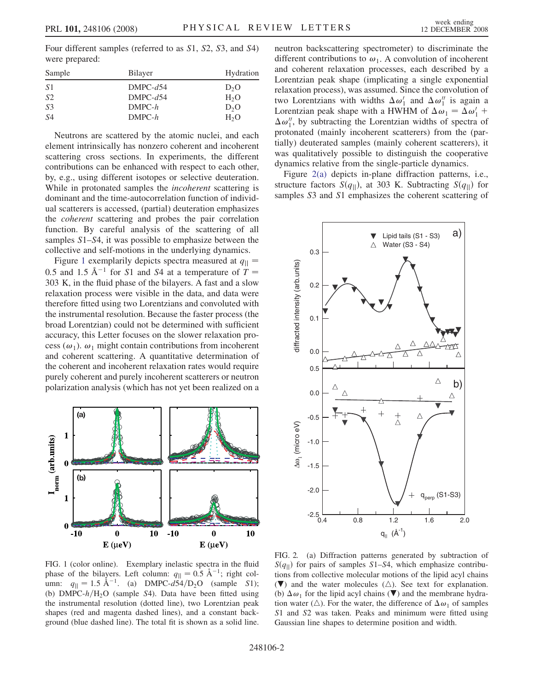<span id="page-1-0"></span>Four different samples (referred to as S1, S2, S3, and S4) were prepared:

| Sample         | <b>Bilayer</b> | Hydration        |
|----------------|----------------|------------------|
| -S 1           | $DMPC-d54$     | D <sub>2</sub> O |
| <i>S</i> 2     | $DMPC-d54$     | $H_2O$           |
| S <sub>3</sub> | $DMPC-h$       | D <sub>2</sub> O |
| S4             | $DMPC-h$       | H <sub>2</sub> O |
|                |                |                  |

Neutrons are scattered by the atomic nuclei, and each element intrinsically has nonzero coherent and incoherent scattering cross sections. In experiments, the different contributions can be enhanced with respect to each other, by, e.g., using different isotopes or selective deuteration. While in protonated samples the *incoherent* scattering is dominant and the time-autocorrelation function of individual scatterers is accessed, (partial) deuteration emphasizes the coherent scattering and probes the pair correlation function. By careful analysis of the scattering of all samples  $S1-S4$ , it was possible to emphasize between the collective and self-motions in the underlying dynamics.

Figure 1 exemplarily depicts spectra measured at  $q_{\parallel}$  = 0.5 and 1.5  $\AA^{-1}$  for S1 and S4 at a temperature of  $T =$ 303 K, in the fluid phase of the bilayers. A fast and a slow relaxation process were visible in the data, and data were therefore fitted using two Lorentzians and convoluted with the instrumental resolution. Because the faster process (the broad Lorentzian) could not be determined with sufficient accuracy, this Letter focuses on the slower relaxation process ( $\omega_1$ ).  $\omega_1$  might contain contributions from incoherent and coherent scattering. A quantitative determination of the coherent and incoherent relaxation rates would require purely coherent and purely incoherent scatterers or neutron polarization analysis (which has not yet been realized on a



FIG. 1 (color online). Exemplary inelastic spectra in the fluid phase of the bilayers. Left column:  $q_{\parallel} = 0.5 \text{ Å}^{-1}$ ; right column:  $q_{\parallel} = 1.5 \text{ Å}^{-1}$ . (a) DMPC- $d54/D_2O$  (sample S1); (b)  $\overrightarrow{DMPC-h/H_2O}$  (sample S4). Data have been fitted using the instrumental resolution (dotted line), two Lorentzian peak shapes (red and magenta dashed lines), and a constant background (blue dashed line). The total fit is shown as a solid line.

neutron backscattering spectrometer) to discriminate the different contributions to  $\omega_1$ . A convolution of incoherent and coherent relaxation processes, each described by a Lorentzian peak shape (implicating a single exponential relaxation process), was assumed. Since the convolution of two Lorentzians with widths  $\Delta \omega_1'$  and  $\Delta \omega_1''$  is again a Lorentzian peak shape with a HWHM of  $\Delta \omega_1 = \Delta \omega'_1 +$  $\Delta \omega_1''$ , by subtracting the Lorentzian widths of spectra of protonated (mainly incoherent scatterers) from the (partially) deuterated samples (mainly coherent scatterers), it was qualitatively possible to distinguish the cooperative dynamics relative from the single-particle dynamics.

Figure 2(a) depicts in-plane diffraction patterns, i.e., structure factors  $S(q_{\parallel})$ , at 303 K. Subtracting  $S(q_{\parallel})$  for samples  $S3$  and  $S1$  emphasizes the coherent scattering of



FIG. 2. (a) Diffraction patterns generated by subtraction of  $S(q_{\parallel})$  for pairs of samples S1–S4, which emphasize contributions from collective molecular motions of the lipid acyl chains  $(\nabla)$  and the water molecules  $(\triangle)$ . See text for explanation. (b)  $\Delta \omega_1$  for the lipid acyl chains ( $\nabla$ ) and the membrane hydration water ( $\triangle$ ). For the water, the difference of  $\Delta \omega_1$  of samples S1 and S2 was taken. Peaks and minimum were fitted using Gaussian line shapes to determine position and width.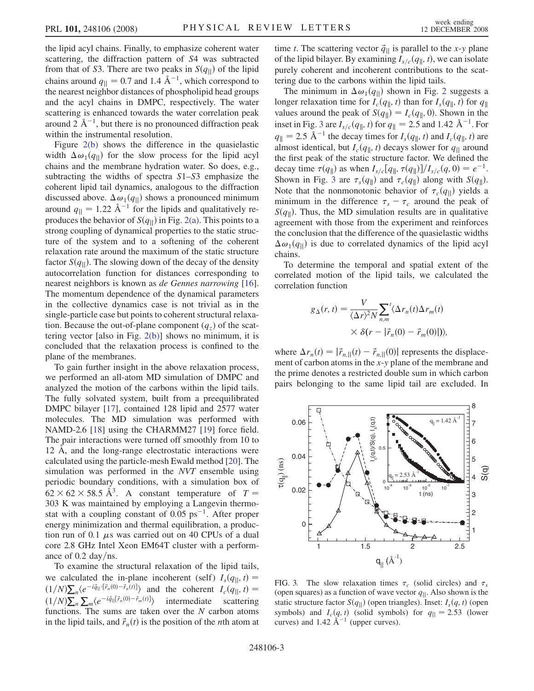the lipid acyl chains. Finally, to emphasize coherent water scattering, the diffraction pattern of S4 was subtracted from that of S3. There are two peaks in  $S(q_{\parallel})$  of the lipid chains around  $q_{\parallel} = 0.7$  and 1.4  $\text{\AA}^{-1}$ , which correspond to the nearest neighbor distances of phospholipid head groups and the acyl chains in DMPC, respectively. The water scattering is enhanced towards the water correlation peak around 2  $\AA^{-1}$ , but there is no pronounced diffraction peak within the instrumental resolution.

Figure [2\(b\)](#page-1-0) shows the difference in the quasielastic width  $\Delta \omega_1(q_{\parallel})$  for the slow process for the lipid acyl chains and the membrane hydration water. So does, e.g., subtracting the widths of spectra S1–S3 emphasize the coherent lipid tail dynamics, analogous to the diffraction discussed above.  $\Delta \omega_1(q_{\parallel})$  shows a pronounced minimum around  $q_{\parallel} = 1.22 \text{ Å}^{-1}$  for the lipids and qualitatively reproduces the behavior of  $S(q_{\parallel})$  in Fig. [2\(a\)](#page-1-0). This points to a strong coupling of dynamical properties to the static structure of the system and to a softening of the coherent relaxation rate around the maximum of the static structure factor  $S(q_{\parallel})$ . The slowing down of the decay of the density autocorrelation function for distances corresponding to nearest neighbors is known as de Gennes narrowing [\[16\]](#page-3-0). The momentum dependence of the dynamical parameters in the collective dynamics case is not trivial as in the single-particle case but points to coherent structural relaxation. Because the out-of-plane component  $(q_z)$  of the scattering vector [also in Fig. [2\(b\)](#page-1-0)] shows no minimum, it is concluded that the relaxation process is confined to the plane of the membranes.

To gain further insight in the above relaxation process, we performed an all-atom MD simulation of DMPC and analyzed the motion of the carbons within the lipid tails. The fully solvated system, built from a preequilibrated DMPC bilayer [[17](#page-3-0)], contained 128 lipid and 2577 water molecules. The MD simulation was performed with NAMD-2.6 [[18](#page-3-0)] using the CHARMM27 [[19](#page-3-0)] force field. The pair interactions were turned off smoothly from 10 to 12 Å, and the long-range electrostatic interactions were calculated using the particle-mesh Ewald method [\[20](#page-3-0)]. The simulation was performed in the NVT ensemble using periodic boundary conditions, with a simulation box of  $62 \times 62 \times 58.5 \text{ Å}^3$ . A constant temperature of  $T =$ 303 K was maintained by employing a Langevin thermostat with a coupling constant of  $0.05 \text{ ps}^{-1}$ . After proper energy minimization and thermal equilibration, a production run of 0.1  $\mu$ s was carried out on 40 CPUs of a dual core 2.8 GHz Intel Xeon EM64T cluster with a performance of  $0.2 \text{ day/ns.}$ 

To examine the structural relaxation of the lipid tails, we calculated the in-plane incoherent (self)  $I_s(q_{\parallel}, t) =$  $(1/N)\sum_{n}(e^{-i\vec{q}}\mathbf{r}[\vec{r}_{n}(0)-\vec{r}_{n}(t)])$  and the coherent  $I_{c}(q_{\parallel}, t)=$  $\langle 1/N \rangle \sum_n \sum_m \langle e^{-i \vec{q}} \rangle \langle \vec{r}_n(0) - \vec{r}_m(t) \rangle$  intermediate scattering functions. The sums are taken over the  $N$  carbon atoms in the lipid tails, and  $\vec{r}_n(t)$  is the position of the *n*th atom at time t. The scattering vector  $\vec{q}_{\parallel}$  is parallel to the x-y plane of the lipid bilayer. By examining  $I_{s/c}(q_{\parallel}, t)$ , we can isolate purely coherent and incoherent contributions to the scattering due to the carbons within the lipid tails.

The minimum in  $\Delta \omega_1(q_{\parallel})$  shown in Fig. [2](#page-1-0) suggests a longer relaxation time for  $I_c(q_{\parallel}, t)$  than for  $I_s(q_{\parallel}, t)$  for  $q_{\parallel}$ values around the peak of  $S(q_{\parallel}) = I_c(q_{\parallel}, 0)$ . Shown in the inset in Fig. 3 are  $I_{s/c}(q_{\|}, t)$  for  $q_{\|} = 2.5$  and 1.42  $\rm \AA^{-1}$ . For  $q_{\parallel}$  = 2.5 Å<sup>-1</sup> the decay times for  $I_s(q_{\parallel}, t)$  and  $I_c(q_{\parallel}, t)$  are almost identical, but  $I_c(q_{\parallel}, t)$  decays slower for  $q_{\parallel}$  around the first peak of the static structure factor. We defined the decay time  $\tau(q_{\parallel})$  as when  $I_{s/c}[q_{\parallel}, \tau(q_{\parallel})]/I_{s/c}(q, 0) = e^{-1}$ . Shown in Fig. 3 are  $\tau_s(q_{\parallel})$  and  $\tau_c(q_{\parallel})$  along with  $S(q_{\parallel})$ . Note that the nonmonotonic behavior of  $\tau_c(q_{\parallel})$  yields a minimum in the difference  $\tau_s - \tau_c$  around the peak of  $S(q_{\parallel})$ . Thus, the MD simulation results are in qualitative agreement with those from the experiment and reinforces the conclusion that the difference of the quasielastic widths  $\Delta \omega_1(q_{\parallel})$  is due to correlated dynamics of the lipid acyl chains.

To determine the temporal and spatial extent of the correlated motion of the lipid tails, we calculated the correlation function

$$
g_{\Delta}(r, t) = \frac{V}{\langle \Delta r \rangle^2 N} \sum_{n,m} \langle \Delta r_n(t) \Delta r_m(t) \times \delta(r - |\vec{r}_n(0) - \vec{r}_m(0)|) \rangle,
$$

where  $\Delta r_n(t) = |\vec{r}_{n,||}(t) - \vec{r}_{n,||}(0)|$  represents the displacement of carbon atoms in the x-y plane of the membrane and the prime denotes a restricted double sum in which carbon pairs belonging to the same lipid tail are excluded. In



FIG. 3. The slow relaxation times  $\tau_c$  (solid circles) and  $\tau_s$ (open squares) as a function of wave vector  $q_{\parallel}$ . Also shown is the static structure factor  $S(q_{\parallel})$  (open triangles). Inset:  $I_s(q, t)$  (open symbols) and  $I_c(q, t)$  (solid symbols) for  $q_{\parallel} = 2.53$  (lower curves) and 1.42  $\AA^{-1}$  (upper curves).